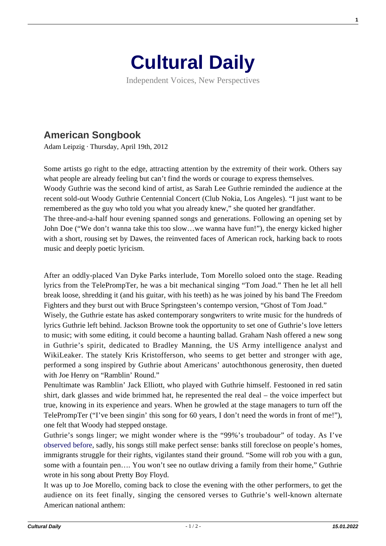## **[Cultural Daily](https://culturaldaily.com/)**

Independent Voices, New Perspectives

## **[American Songbook](https://culturaldaily.com/american-songbook/)**

Adam Leipzig · Thursday, April 19th, 2012

Some artists go right to the edge, attracting attention by the extremity of their work. Others say what people are already feeling but can't find the words or courage to express themselves.

Woody Guthrie was the second kind of artist, as Sarah Lee Guthrie reminded the audience at the recent sold-out Woody Guthrie Centennial Concert (Club Nokia, Los Angeles). "I just want to be remembered as the guy who told you what you already knew," she quoted her grandfather.

The three-and-a-half hour evening spanned songs and generations. Following an opening set by John Doe ("We don't wanna take this too slow…we wanna have fun!"), the energy kicked higher with a short, rousing set by Dawes, the reinvented faces of American rock, harking back to roots music and deeply poetic lyricism.

After an oddly-placed Van Dyke Parks interlude, Tom Morello soloed onto the stage. Reading lyrics from the TelePrompTer, he was a bit mechanical singing "Tom Joad." Then he let all hell break loose, shredding it (and his guitar, with his teeth) as he was joined by his band The Freedom Fighters and they burst out with Bruce Springsteen's contempo version, "Ghost of Tom Joad."

Wisely, the Guthrie estate has asked contemporary songwriters to write music for the hundreds of lyrics Guthrie left behind. Jackson Browne took the opportunity to set one of Guthrie's love letters to music; with some editing, it could become a haunting ballad. Graham Nash offered a new song in Guthrie's spirit, dedicated to Bradley Manning, the US Army intelligence analyst and WikiLeaker. The stately Kris Kristofferson, who seems to get better and stronger with age, performed a song inspired by Guthrie about Americans' autochthonous generosity, then dueted with Joe Henry on "Ramblin' Round."

Penultimate was Ramblin' Jack Elliott, who played with Guthrie himself. Festooned in red satin shirt, dark glasses and wide brimmed hat, he represented the real deal – the voice imperfect but true, knowing in its experience and years. When he growled at the stage managers to turn off the TelePrompTer ("I've been singin' this song for 60 years, I don't need the words in front of me!"), one felt that Woody had stepped onstage.

Guthrie's songs linger; we might wonder where is the "99%'s troubadour" of today. As I've [observed before](https://www.culturalweekly.com/wheres-the-music.html), sadly, his songs still make perfect sense: banks still foreclose on people's homes, immigrants struggle for their rights, vigilantes stand their ground. "Some will rob you with a gun, some with a fountain pen…. You won't see no outlaw driving a family from their home," Guthrie wrote in his song about Pretty Boy Floyd.

It was up to Joe Morello, coming back to close the evening with the other performers, to get the audience on its feet finally, singing the censored verses to Guthrie's well-known alternate American national anthem:

**1**